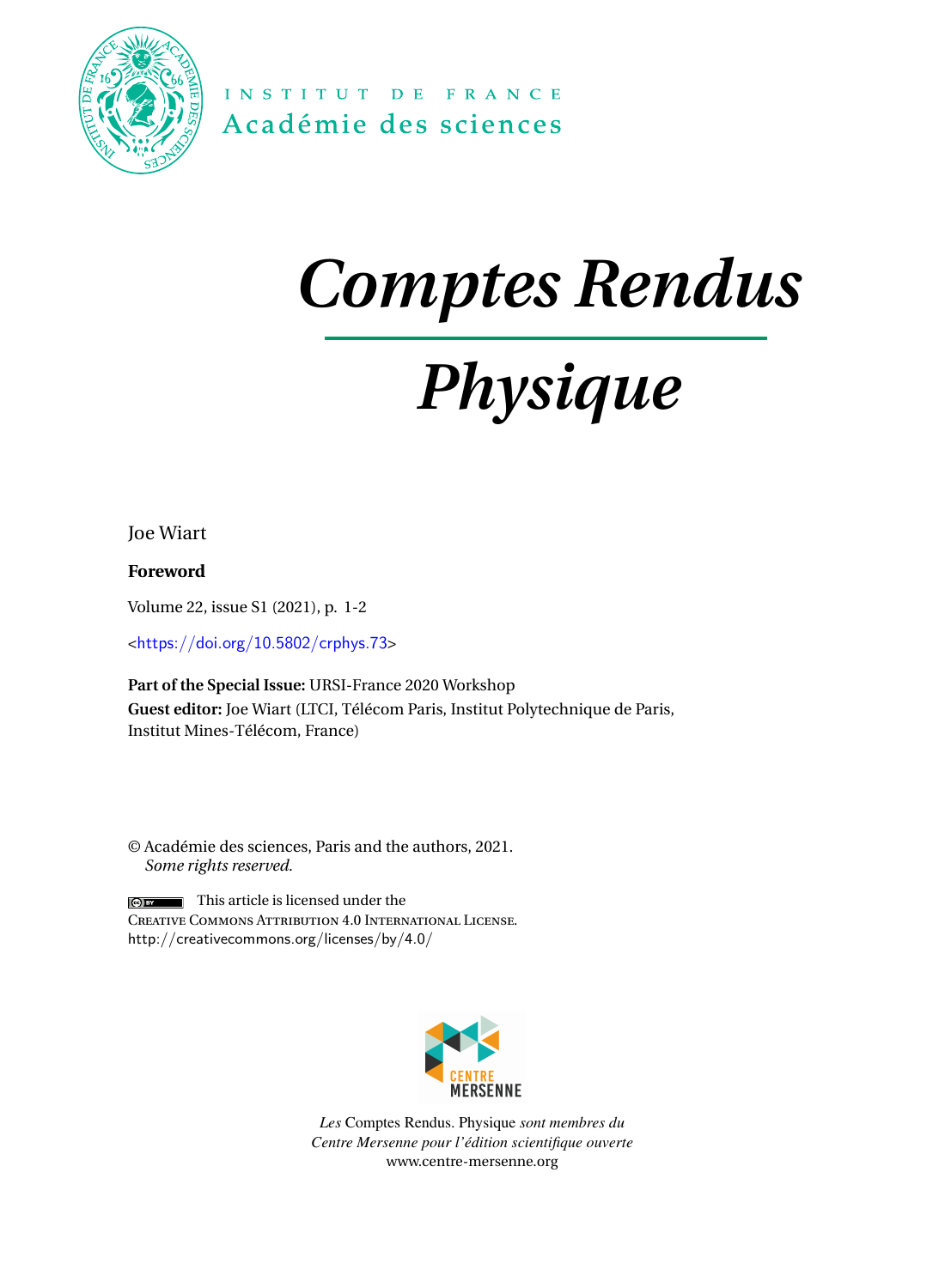

INSTITUT DE FRANCE Académie des sciences

## *Comptes Rendus*

# *Physique*

Joe Wiart

**Foreword**

Volume 22, issue S1 (2021), p. 1-2

<<https://doi.org/10.5802/crphys.73>>

**Part of the Special Issue:** URSI-France 2020 Workshop **Guest editor:** Joe Wiart (LTCI, Télécom Paris, Institut Polytechnique de Paris, Institut Mines-Télécom, France)

© Académie des sciences, Paris and the authors, 2021. *Some rights reserved.*

This article is licensed under the  $\odot$  BY Creative Commons Attribution 4.0 International License. <http://creativecommons.org/licenses/by/4.0/>



*Les* Comptes Rendus. Physique *sont membres du Centre Mersenne pour l'édition scientifique ouverte* [www.centre-mersenne.org](https://www.centre-mersenne.org)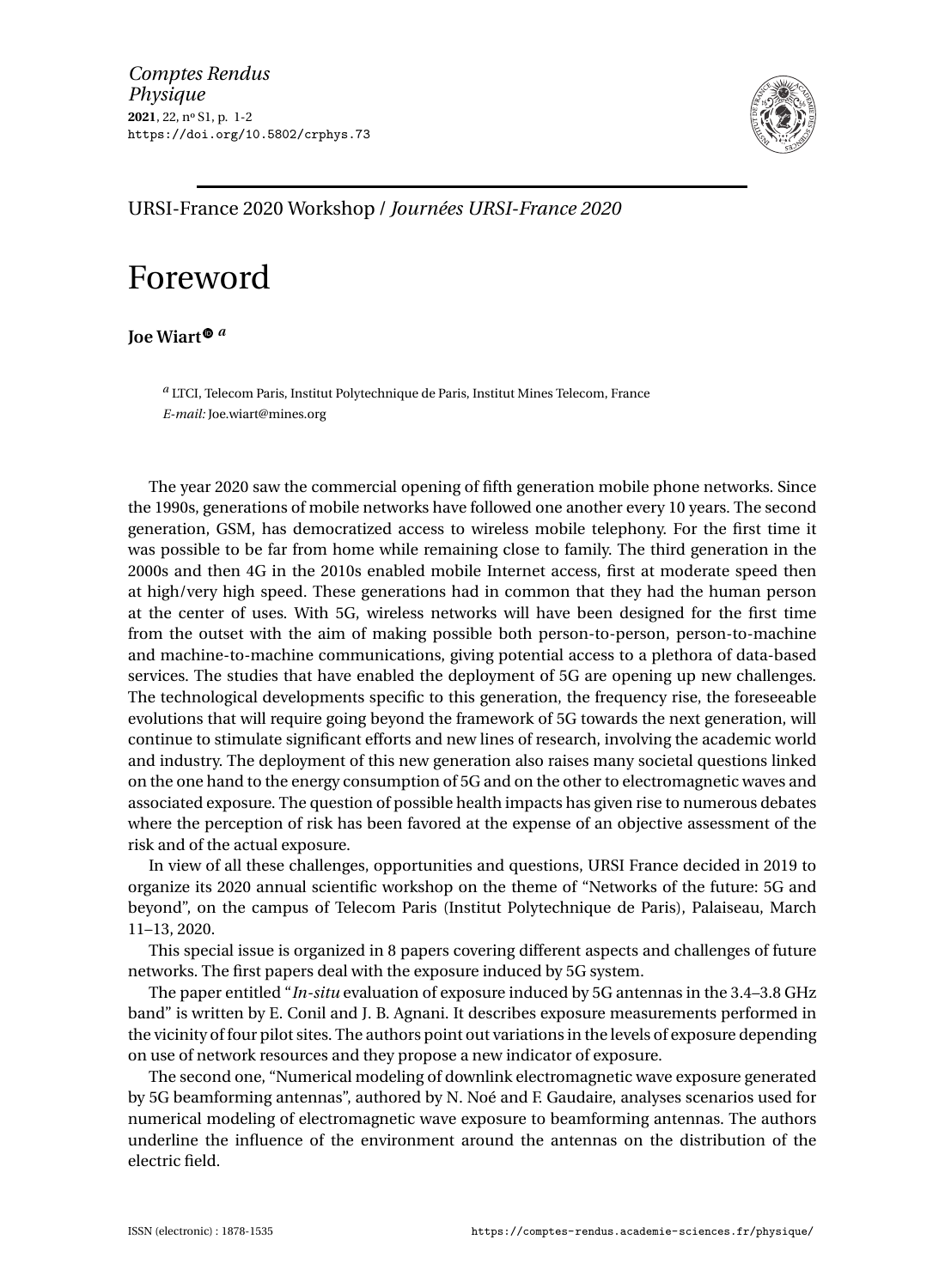

### URSI-France 2020 Workshop / *Journées URSI-France 2020*

### Foreword

**Joe Wiar[t](https://orcid.org/0000-0002-8902-5778)** *<sup>a</sup>*

*<sup>a</sup>* LTCI, Telecom Paris, Institut Polytechnique de Paris, Institut Mines Telecom, France *E-mail:* [Joe.wiart@mines.org](mailto:Joe.wiart@mines.org)

The year 2020 saw the commercial opening of fifth generation mobile phone networks. Since the 1990s, generations of mobile networks have followed one another every 10 years. The second generation, GSM, has democratized access to wireless mobile telephony. For the first time it was possible to be far from home while remaining close to family. The third generation in the 2000s and then 4G in the 2010s enabled mobile Internet access, first at moderate speed then at high/very high speed. These generations had in common that they had the human person at the center of uses. With 5G, wireless networks will have been designed for the first time from the outset with the aim of making possible both person-to-person, person-to-machine and machine-to-machine communications, giving potential access to a plethora of data-based services. The studies that have enabled the deployment of 5G are opening up new challenges. The technological developments specific to this generation, the frequency rise, the foreseeable evolutions that will require going beyond the framework of 5G towards the next generation, will continue to stimulate significant efforts and new lines of research, involving the academic world and industry. The deployment of this new generation also raises many societal questions linked on the one hand to the energy consumption of 5G and on the other to electromagnetic waves and associated exposure. The question of possible health impacts has given rise to numerous debates where the perception of risk has been favored at the expense of an objective assessment of the risk and of the actual exposure.

In view of all these challenges, opportunities and questions, URSI France decided in 2019 to organize its 2020 annual scientific workshop on the theme of "Networks of the future: 5G and beyond", on the campus of Telecom Paris (Institut Polytechnique de Paris), Palaiseau, March 11–13, 2020.

This special issue is organized in 8 papers covering different aspects and challenges of future networks. The first papers deal with the exposure induced by 5G system.

The paper entitled "*In-situ* evaluation of exposure induced by 5G antennas in the 3.4–3.8 GHz band" is written by E. Conil and J. B. Agnani. It describes exposure measurements performed in the vicinity of four pilot sites. The authors point out variations in the levels of exposure depending on use of network resources and they propose a new indicator of exposure.

The second one, "Numerical modeling of downlink electromagnetic wave exposure generated by 5G beamforming antennas", authored by N. Noé and F. Gaudaire, analyses scenarios used for numerical modeling of electromagnetic wave exposure to beamforming antennas. The authors underline the influence of the environment around the antennas on the distribution of the electric field.